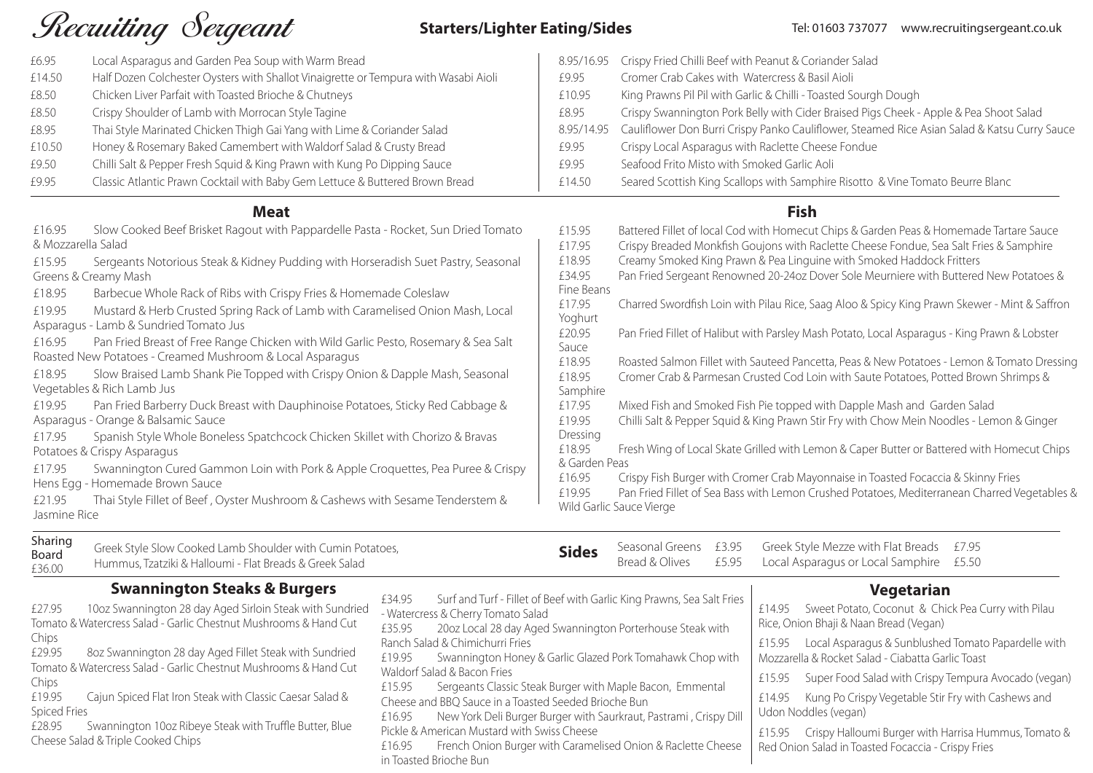# Recuiting Sergeant

# **Starters/Lighter Eating/Sides**

| £6.95              | Local Asparagus and Garden Pea Soup with Warm Bread                                 | 8.95/16.95                  | Crispy Fried Chilli Beef with Peanut & Coriander     |
|--------------------|-------------------------------------------------------------------------------------|-----------------------------|------------------------------------------------------|
| £14.50             | Half Dozen Colchester Oysters with Shallot Vinaigrette or Tempura with Wasabi Aioli | £9.95                       | Cromer Crab Cakes with Watercress & Basil Aioli      |
| £8.50              | Chicken Liver Parfait with Toasted Brioche & Chutneys                               | £10.95                      | King Prawns Pil Pil with Garlic & Chilli - Toasted S |
| £8.50              | Crispy Shoulder of Lamb with Morrocan Style Tagine                                  | £8.95                       | Crispy Swannington Pork Belly with Cider Braise      |
| £8.95              | Thai Style Marinated Chicken Thigh Gai Yang with Lime & Coriander Salad             | 8.95/14.95                  | Cauliflower Don Burri Crispy Panko Cauliflower,      |
| £10.50             | Honey & Rosemary Baked Camembert with Waldorf Salad & Crusty Bread                  | £9.95                       | Crispy Local Asparagus with Raclette Cheese Fo       |
| £9.50              | Chilli Salt & Pepper Fresh Squid & King Prawn with Kung Po Dipping Sauce            | £9.95                       | Seafood Frito Misto with Smoked Garlic Aoli          |
| £9.95              | Classic Atlantic Prawn Cocktail with Baby Gem Lettuce & Buttered Brown Bread        | £14.50                      | Seared Scottish King Scallops with Samphire Ris      |
|                    | <b>Meat</b>                                                                         |                             | <b>Fish</b>                                          |
| £16.95             | Slow Cooked Beef Brisket Ragout with Pappardelle Pasta - Rocket, Sun Dried Tomato   | £15.95                      | Battered Fillet of local Cod with Homecut Chips      |
| & Mozzarella Salad |                                                                                     | £17.95                      | Crispy Breaded Monkfish Goujons with Raclette        |
| £15.95             | Sergeants Notorious Steak & Kidney Pudding with Horseradish Suet Pastry, Seasonal   | £18.95                      | Creamy Smoked King Prawn & Pea Linguine with         |
|                    | Greens & Creamy Mash                                                                | £34.95                      | Pan Fried Sergeant Renowned 20-24oz Dover Sc         |
| £18.95             | Barbecue Whole Rack of Ribs with Crispy Fries & Homemade Coleslaw                   | Fine Beans                  |                                                      |
| £19.95             | Mustard & Herb Crusted Spring Rack of Lamb with Caramelised Onion Mash, Local       | £17.95<br>Yoghurt           | Charred Swordfish Loin with Pilau Rice, Saag Alo     |
|                    | Asparagus - Lamb & Sundried Tomato Jus                                              | £20.95                      | Pan Fried Fillet of Halibut with Parsley Mash Pota   |
| £16.95             | Pan Fried Breast of Free Range Chicken with Wild Garlic Pesto, Rosemary & Sea Salt  | Sauce                       |                                                      |
|                    | Roasted New Potatoes - Creamed Mushroom & Local Asparagus                           | £18.95                      | Roasted Salmon Fillet with Sauteed Pancetta, Pea     |
| £18.95             | Slow Braised Lamb Shank Pie Topped with Crispy Onion & Dapple Mash, Seasonal        | £18.95                      | Cromer Crab & Parmesan Crusted Cod Loin with         |
|                    | Vegetables & Rich Lamb Jus                                                          | Samphire                    |                                                      |
| £19.95             | Pan Fried Barberry Duck Breast with Dauphinoise Potatoes, Sticky Red Cabbage &      | £17.95                      | Mixed Fish and Smoked Fish Pie topped with Da        |
|                    | Asparagus - Orange & Balsamic Sauce                                                 | £19.95                      | Chilli Salt & Pepper Squid & King Prawn Stir Fry w   |
| £17.95             | Spanish Style Whole Boneless Spatchcock Chicken Skillet with Chorizo & Bravas       | Dressing<br>£18.95          | Fresh Wing of Local Skate Grilled with Lemon & O     |
|                    | Potatoes & Crispy Asparagus                                                         | & Garden Peas               |                                                      |
| £17.95             | Swannington Cured Gammon Loin with Pork & Apple Croquettes, Pea Puree & Crispy      | £16.95                      | Crispy Fish Burger with Cromer Crab Mayonnaise       |
|                    | Hens Egg - Homemade Brown Sauce                                                     | $\sim$ $\sim$ $\sim$ $\sim$ |                                                      |

nnaise in Toasted Focaccia & Skinny Fries £19.95 Pan Fried Fillet of Sea Bass with Lemon Crushed Potatoes, Mediterranean Charred Vegetables &

et Potato, Coconut & Chick Pea Curry with Pilau aji & Naan Bread (Vegan)

Asparagus & Sunblushed Tomato Papardelle with ocket Salad - Ciabatta Garlic Toast

Food Salad with Crispy Tempura Avocado (vegan)

Po Crispy Vegetable Stir Fry with Cashews and (vegan)

y Halloumi Burger with Harrisa Hummus, Tomato & ad in Toasted Focaccia - Crispy Fries

| Sharing<br><b>Board</b><br>£36.00 | Greek Style Slow Cooked Lamb Shoulder with Cumin Potatoes,<br>Hummus, Tzatziki & Halloumi - Flat Breads & Greek Salad     | <b>Sides</b>                                                             |  | Seasonal Greens £3.95 Greek Style Mezze with Flat Breads £7.95<br>Bread & Olives £5.95 Local Asparagus or Local Samphire £5.50 |  |
|-----------------------------------|---------------------------------------------------------------------------------------------------------------------------|--------------------------------------------------------------------------|--|--------------------------------------------------------------------------------------------------------------------------------|--|
|                                   | <b>Swannington Steaks &amp; Burgers</b><br>£34.95<br>10 et Currente estate 20 de una difficilità Charles del Currente del | Surf and Turf - Fillet of Beef with Garlic King Prawns, Sea Salt Fries I |  | <b>Vegetarian</b><br>Construction Communication Children<br>C1 A O F                                                           |  |

£21.95 Thai Style Fillet of Beef , Oyster Mushroom & Cashews with Sesame Tenderstem & Jasmine Rice Wild Garlic Sauce Vierge

| 10oz Swannington 28 day Aged Sirloin Steak with Sundried<br>£27.95<br>Tomato & Watercress Salad - Garlic Chestnut Mushrooms & Hand Cut<br>Chips<br>8oz Swannington 28 day Aged Fillet Steak with Sundried<br>£29.95<br>Tomato & Watercress Salad - Garlic Chestnut Mushrooms & Hand Cut<br>Chips<br>Cajun Spiced Flat Iron Steak with Classic Caesar Salad &<br>£19.95<br><b>Spiced Fries</b><br>Swannington 10oz Ribeye Steak with Truffle Butter, Blue<br>£28.95<br>Cheese Salad & Triple Cooked Chips | £34.95<br>Surf and Turf - Fillet of Beef with Garlic King Prawns, Sea Salt Fries<br>- Watercress & Cherry Tomato Salad<br>20oz Local 28 day Aged Swannington Porterhouse Steak with<br>£35.95<br>Ranch Salad & Chimichurri Fries<br>Swannington Honey & Garlic Glazed Pork Tomahawk Chop with<br>£19.95<br>Waldorf Salad & Bacon Fries<br>Sergeants Classic Steak Burger with Maple Bacon, Emmental<br>£15.95<br>Cheese and BBQ Sauce in a Toasted Seeded Brioche Bun<br>New York Deli Burger Burger with Saurkraut, Pastrami, Crispy Dill<br>£16.95<br>Pickle & American Mustard with Swiss Cheese | £14.95<br><b>Swee</b><br>Rice, Onion Bha<br>Local<br>£15.95<br>Mozzarella & Rc<br>£15.95<br>Super<br>£14.95<br>Kung<br>Udon Noddles<br>Crispy<br>£15.95 |
|----------------------------------------------------------------------------------------------------------------------------------------------------------------------------------------------------------------------------------------------------------------------------------------------------------------------------------------------------------------------------------------------------------------------------------------------------------------------------------------------------------|-----------------------------------------------------------------------------------------------------------------------------------------------------------------------------------------------------------------------------------------------------------------------------------------------------------------------------------------------------------------------------------------------------------------------------------------------------------------------------------------------------------------------------------------------------------------------------------------------------|---------------------------------------------------------------------------------------------------------------------------------------------------------|
|                                                                                                                                                                                                                                                                                                                                                                                                                                                                                                          | French Onion Burger with Caramelised Onion & Raclette Cheese<br>£16.95<br>in Toasted Brioche Bun                                                                                                                                                                                                                                                                                                                                                                                                                                                                                                    | Red Onion Sala                                                                                                                                          |

### Tel: 01603 737077 www.recruitingsergeant.co.uk

ander Salad sted Sourgh Dough Braised Pigs Cheek - Apple & Pea Shoot Salad 8.95 Steamed Rice Asian Salad & Katsu Curry Sauce se Fondue Ire Risotto & Vine Tomato Beurre Blanc

Ehips & Garden Peas & Homemade Tartare Sauce Elette Cheese Fondue, Sea Salt Fries & Samphire e with Smoked Haddock Fritters er Sole Meurniere with Buttered New Potatoes &

Ig Aloo & Spicy King Prawn Skewer - Mint & Saffron

Potato, Local Asparagus - King Prawn & Lobster

ta, Peas & New Potatoes - Lemon & Tomato Dressing with Saute Potatoes, Potted Brown Shrimps &

th Dapple Mash and Garden Salad Fry with Chow Mein Noodles - Lemon & Ginger

on & Caper Butter or Battered with Homecut Chips